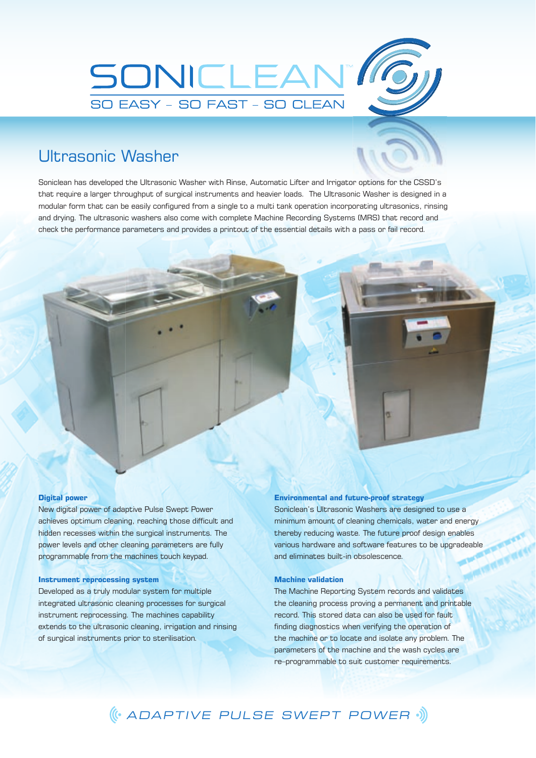

## Ultrasonic Washer

Soniclean has developed the Ultrasonic Washer with Rinse, Automatic Lifter and Irrigator options for the CSSD's that require a larger throughput of surgical instruments and heavier loads. The Ultrasonic Washer is designed in a modular form that can be easily configured from a single to a multi tank operation incorporating ultrasonics, rinsing and drying. The ultrasonic washers also come with complete Machine Recording Systems (MRS) that record and check the performance parameters and provides a printout of the essential details with a pass or fail record.

#### **Digital power**

New digital power of adaptive Pulse Swept Power achieves optimum cleaning, reaching those difficult and hidden recesses within the surgical instruments. The power levels and other cleaning parameters are fully programmable from the machines touch keypad.

## **Instrument reprocessing system**

Developed as a truly modular system for multiple integrated ultrasonic cleaning processes for surgical instrument reprocessing. The machines capability extends to the ultrasonic cleaning, irrigation and rinsing of surgical instruments prior to sterilisation.

#### **Environmental and future-proof strategy**

Soniclean's Ultrasonic Washers are designed to use a minimum amount of cleaning chemicals, water and energy thereby reducing waste. The future proof design enables various hardware and software features to be upgradeable and eliminates built-in obsolescence.

### **Machine validation**

The Machine Reporting System records and validates the cleaning process proving a permanent and printable record. This stored data can also be used for fault finding diagnostics when verifying the operation of the machine or to locate and isolate any problem. The parameters of the machine and the wash cycles are re–programmable to suit customer requirements.

# ADAPTIVE PULSE SWEPT POWER